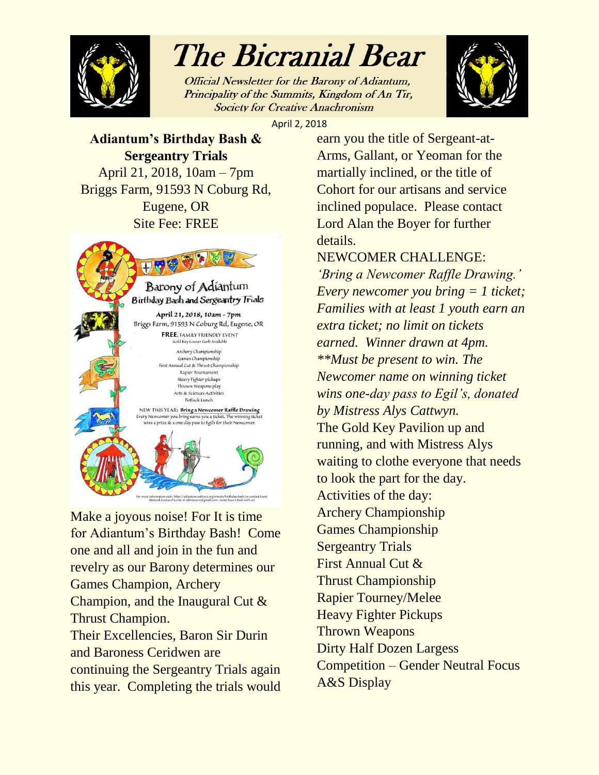

Official Newsletter for the Barony of Adiantum, Principality of the Summits, Kingdom of An Tir, **Society for Creative Anachronism** 



April 2, 2018

**Adiantum's Birthday Bash & Sergeantry Trials** April 21, 2018, 10am – 7pm Briggs Farm, 91593 N Coburg Rd, Eugene, OR

Site Fee: FREE



Make a joyous noise! For It is time for Adiantum's Birthday Bash! Come one and all and join in the fun and revelry as our Barony determines our Games Champion, Archery Champion, and the Inaugural Cut & Thrust Champion. Their Excellencies, Baron Sir Durin and Baroness Ceridwen are continuing the Sergeantry Trials again this year. Completing the trials would

earn you the title of Sergeant-at-Arms, Gallant, or Yeoman for the martially inclined, or the title of Cohort for our artisans and service inclined populace. Please contact Lord Alan the Boyer for further details.

NEWCOMER CHALLENGE: *'Bring a Newcomer Raffle Drawing.' Every newcomer you bring = 1 ticket; Families with at least 1 youth earn an extra ticket; no limit on tickets earned. Winner drawn at 4pm. \*\*Must be present to win. The Newcomer name on winning ticket wins one-day pass to Egil's, donated by Mistress Alys Cattwyn.* The Gold Key Pavilion up and running, and with Mistress Alys waiting to clothe everyone that needs to look the part for the day. Activities of the day: Archery Championship Games Championship Sergeantry Trials First Annual Cut & Thrust Championship Rapier Tourney/Melee Heavy Fighter Pickups Thrown Weapons Dirty Half Dozen Largess Competition – Gender Neutral Focus A&S Display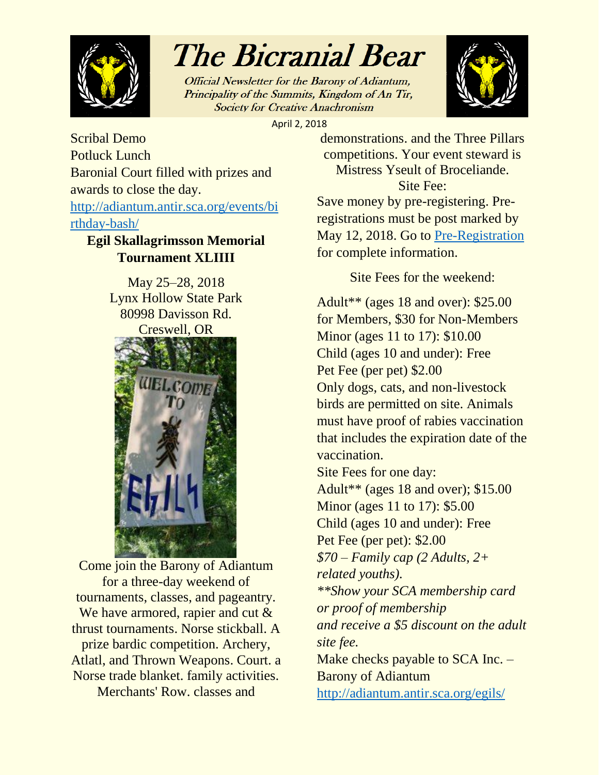

Official Newsletter for the Barony of Adiantum, Principality of the Summits, Kingdom of An Tir, **Society for Creative Anachronism** 



April 2, 2018

Scribal Demo Potluck Lunch Baronial Court filled with prizes and awards to close the day. [http://adiantum.antir.sca.org/events/bi](http://adiantum.antir.sca.org/events/birthday-bash/) [rthday-bash/](http://adiantum.antir.sca.org/events/birthday-bash/)

#### **Egil Skallagrimsson Memorial Tournament XLIIII**

May 25–28, 2018 Lynx Hollow State Park 80998 Davisson Rd. Creswell, OR



Come join the Barony of Adiantum for a three-day weekend of tournaments, classes, and pageantry. We have armored, rapier and cut & thrust tournaments. Norse stickball. A prize bardic competition. Archery, Atlatl, and Thrown Weapons. Court. a Norse trade blanket. family activities. Merchants' Row. classes and

demonstrations. and the Three Pillars competitions. Your event steward is Mistress Yseult of Broceliande. Site Fee: Save money by pre-registering. Preregistrations must be post marked by May 12, 2018. Go to [Pre-Registration](http://adiantum.antir.sca.org/egils/pre-registration/) for complete information.

Site Fees for the weekend:

Adult\*\* (ages 18 and over): \$25.00 for Members, \$30 for Non-Members Minor (ages 11 to 17): \$10.00 Child (ages 10 and under): Free Pet Fee (per pet) \$2.00 Only dogs, cats, and non-livestock birds are permitted on site. Animals must have proof of rabies vaccination that includes the expiration date of the vaccination. Site Fees for one day: Adult\*\* (ages 18 and over); \$15.00 Minor (ages 11 to 17): \$5.00 Child (ages 10 and under): Free Pet Fee (per pet): \$2.00 *\$70 – Family cap (2 Adults, 2+ related youths). \*\*Show your SCA membership card or proof of membership and receive a \$5 discount on the adult site fee.* Make checks payable to SCA Inc. – Barony of Adiantum <http://adiantum.antir.sca.org/egils/>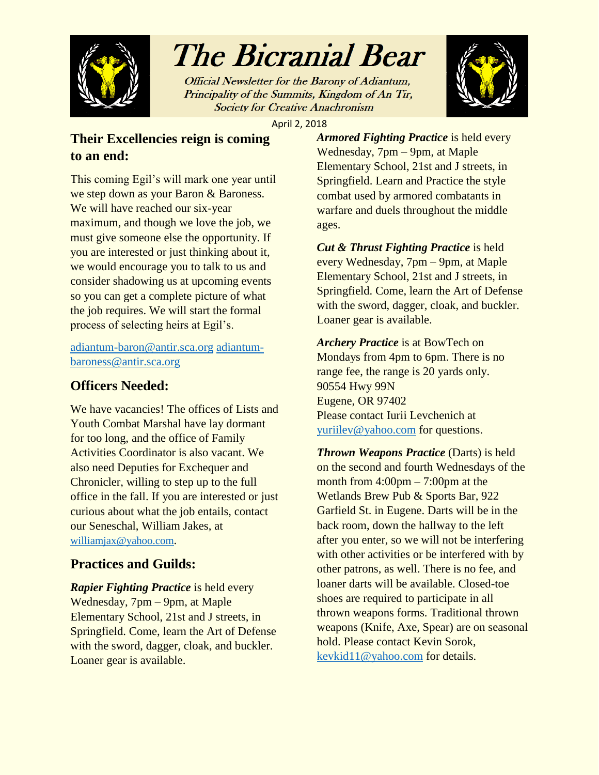

Official Newsletter for the Barony of Adiantum, Principality of the Summits, Kingdom of An Tir, **Society for Creative Anachronism** 



April 2, 2018

#### **Their Excellencies reign is coming to an end:**

This coming Egil's will mark one year until we step down as your Baron & Baroness. We will have reached our six-year maximum, and though we love the job, we must give someone else the opportunity. If you are interested or just thinking about it, we would encourage you to talk to us and consider shadowing us at upcoming events so you can get a complete picture of what the job requires. We will start the formal process of selecting heirs at Egil's.

[adiantum-baron@antir.sca.org](mailto:adiantum-baron@antir.sca.org) [adiantum](mailto:adiantum-baroness@antir.sca.org)[baroness@antir.sca.org](mailto:adiantum-baroness@antir.sca.org)

#### **Officers Needed:**

We have vacancies! The offices of Lists and Youth Combat Marshal have lay dormant for too long, and the office of Family Activities Coordinator is also vacant. We also need Deputies for Exchequer and Chronicler, willing to step up to the full office in the fall. If you are interested or just curious about what the job entails, contact our Seneschal, William Jakes, at [williamjax@yahoo.com](mailto:williamjax@yahoo.com).

### **Practices and Guilds:**

*Rapier Fighting Practice* is held every Wednesday, 7pm – 9pm, at Maple Elementary School, 21st and J streets, in Springfield. Come, learn the Art of Defense with the sword, dagger, cloak, and buckler. Loaner gear is available.

*Armored Fighting Practice* is held every Wednesday, 7pm – 9pm, at Maple Elementary School, 21st and J streets, in Springfield. Learn and Practice the style combat used by armored combatants in warfare and duels throughout the middle ages.

*Cut & Thrust Fighting Practice* is held every Wednesday, 7pm – 9pm, at Maple Elementary School, 21st and J streets, in Springfield. Come, learn the Art of Defense with the sword, dagger, cloak, and buckler. Loaner gear is available.

*Archery Practice* is at BowTech on Mondays from 4pm to 6pm. There is no range fee, the range is 20 yards only. 90554 Hwy 99N Eugene, OR 97402 Please contact Iurii Levchenich at [yuriilev@yahoo.com](mailto:yuriilev@yahoo.com) for questions.

*Thrown Weapons Practice* (Darts) is held on the second and fourth Wednesdays of the month from  $4:00 \text{pm} - 7:00 \text{pm}$  at the Wetlands Brew Pub & Sports Bar, 922 Garfield St. in Eugene. Darts will be in the back room, down the hallway to the left after you enter, so we will not be interfering with other activities or be interfered with by other patrons, as well. There is no fee, and loaner darts will be available. Closed-toe shoes are required to participate in all thrown weapons forms. Traditional thrown weapons (Knife, Axe, Spear) are on seasonal hold. Please contact Kevin Sorok, [kevkid11@yahoo.com](mailto:kevkid11@yahoo.com) for details.